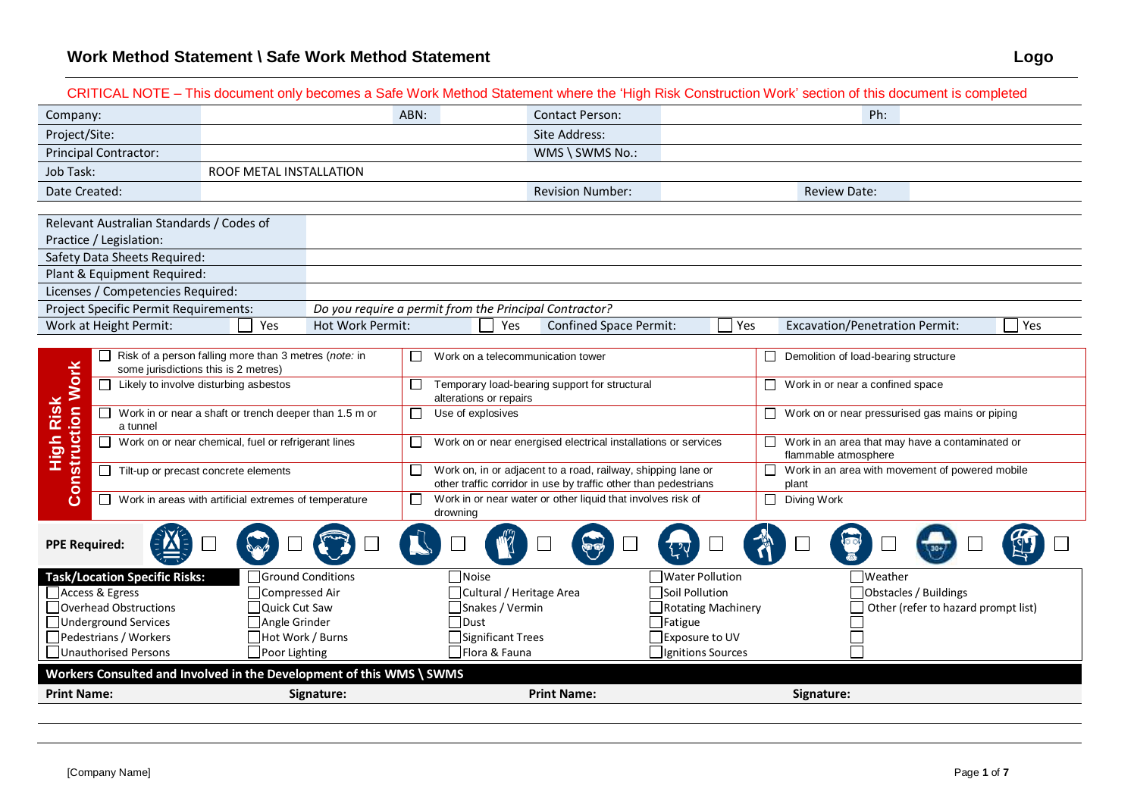|                      |                                                                                                      |                                                        |                                                                            |               |                                   | CRITICAL NOTE – This document only becomes a Safe Work Method Statement where the 'High Risk Construction Work' section of this document is completed |                                      |        |                                                                         |                                     |     |
|----------------------|------------------------------------------------------------------------------------------------------|--------------------------------------------------------|----------------------------------------------------------------------------|---------------|-----------------------------------|-------------------------------------------------------------------------------------------------------------------------------------------------------|--------------------------------------|--------|-------------------------------------------------------------------------|-------------------------------------|-----|
| Company:             |                                                                                                      |                                                        |                                                                            | ABN:          |                                   | <b>Contact Person:</b>                                                                                                                                |                                      |        | Ph:                                                                     |                                     |     |
| Project/Site:        |                                                                                                      |                                                        |                                                                            |               |                                   | Site Address:                                                                                                                                         |                                      |        |                                                                         |                                     |     |
|                      | <b>Principal Contractor:</b>                                                                         |                                                        |                                                                            |               |                                   | WMS \ SWMS No.:                                                                                                                                       |                                      |        |                                                                         |                                     |     |
| Job Task:            |                                                                                                      | ROOF METAL INSTALLATION                                |                                                                            |               |                                   |                                                                                                                                                       |                                      |        |                                                                         |                                     |     |
| Date Created:        |                                                                                                      |                                                        |                                                                            |               |                                   | <b>Revision Number:</b>                                                                                                                               |                                      |        | <b>Review Date:</b>                                                     |                                     |     |
|                      |                                                                                                      |                                                        |                                                                            |               |                                   |                                                                                                                                                       |                                      |        |                                                                         |                                     |     |
|                      | Relevant Australian Standards / Codes of                                                             |                                                        |                                                                            |               |                                   |                                                                                                                                                       |                                      |        |                                                                         |                                     |     |
|                      | Practice / Legislation:                                                                              |                                                        |                                                                            |               |                                   |                                                                                                                                                       |                                      |        |                                                                         |                                     |     |
|                      | Safety Data Sheets Required:                                                                         |                                                        |                                                                            |               |                                   |                                                                                                                                                       |                                      |        |                                                                         |                                     |     |
|                      | Plant & Equipment Required:                                                                          |                                                        |                                                                            |               |                                   |                                                                                                                                                       |                                      |        |                                                                         |                                     |     |
|                      | Licenses / Competencies Required:                                                                    |                                                        |                                                                            |               |                                   |                                                                                                                                                       |                                      |        |                                                                         |                                     |     |
|                      | Project Specific Permit Requirements:<br>Work at Height Permit:                                      | Yes                                                    | Do you require a permit from the Principal Contractor?<br>Hot Work Permit: |               | Yes                               | <b>Confined Space Permit:</b>                                                                                                                         |                                      | Yes    | <b>Excavation/Penetration Permit:</b>                                   |                                     | Yes |
|                      |                                                                                                      |                                                        |                                                                            |               |                                   |                                                                                                                                                       |                                      |        |                                                                         |                                     |     |
|                      | $\Box$ Risk of a person falling more than 3 metres (note: in<br>some jurisdictions this is 2 metres) |                                                        |                                                                            | $\Box$        | Work on a telecommunication tower |                                                                                                                                                       |                                      |        | Demolition of load-bearing structure                                    |                                     |     |
| struction Work       |                                                                                                      | Likely to involve disturbing asbestos                  |                                                                            | $\Box$        | alterations or repairs            | Temporary load-bearing support for structural                                                                                                         |                                      |        | $\Box$ Work in or near a confined space                                 |                                     |     |
| <b>High Risk</b>     | a tunnel                                                                                             | Work in or near a shaft or trench deeper than 1.5 m or |                                                                            | □             | Use of explosives                 |                                                                                                                                                       |                                      |        | Work on or near pressurised gas mains or piping                         |                                     |     |
|                      |                                                                                                      | Work on or near chemical, fuel or refrigerant lines    |                                                                            | □             |                                   | Work on or near energised electrical installations or services                                                                                        |                                      |        | Work in an area that may have a contaminated or<br>flammable atmosphere |                                     |     |
| Gon                  |                                                                                                      | Tilt-up or precast concrete elements                   |                                                                            | □             |                                   | Work on, in or adjacent to a road, railway, shipping lane or<br>other traffic corridor in use by traffic other than pedestrians                       |                                      |        | Work in an area with movement of powered mobile<br>plant                |                                     |     |
|                      | $\Box$ Work in areas with artificial extremes of temperature                                         |                                                        |                                                                            | □<br>drowning |                                   | Work in or near water or other liquid that involves risk of                                                                                           |                                      | $\Box$ | Diving Work                                                             |                                     |     |
| <b>PPE Required:</b> |                                                                                                      |                                                        |                                                                            |               |                                   |                                                                                                                                                       |                                      |        |                                                                         |                                     |     |
|                      | <b>Task/Location Specific Risks:</b>                                                                 |                                                        | <b>Ground Conditions</b>                                                   | Noise         |                                   |                                                                                                                                                       | <b>Water Pollution</b>               |        | Weather                                                                 |                                     |     |
|                      | Access & Egress                                                                                      | Compressed Air                                         |                                                                            |               | Cultural / Heritage Area          |                                                                                                                                                       | Soil Pollution                       |        |                                                                         | Obstacles / Buildings               |     |
|                      | Overhead Obstructions<br>Underground Services                                                        | Quick Cut Saw<br>Angle Grinder                         |                                                                            | □Dust         | Snakes / Vermin                   |                                                                                                                                                       | Rotating Machinery<br>$\Box$ Fatigue |        |                                                                         | Other (refer to hazard prompt list) |     |
|                      | Pedestrians / Workers                                                                                |                                                        | Hot Work / Burns                                                           |               | Significant Trees                 |                                                                                                                                                       | Exposure to UV                       |        |                                                                         |                                     |     |
|                      | Unauthorised Persons                                                                                 | Poor Lighting                                          |                                                                            |               | Flora & Fauna                     |                                                                                                                                                       | Ignitions Sources                    |        |                                                                         |                                     |     |
|                      | Workers Consulted and Involved in the Development of this WMS \ SWMS                                 |                                                        |                                                                            |               |                                   |                                                                                                                                                       |                                      |        |                                                                         |                                     |     |
| <b>Print Name:</b>   |                                                                                                      |                                                        | Signature:                                                                 |               |                                   | <b>Print Name:</b>                                                                                                                                    |                                      |        | Signature:                                                              |                                     |     |
|                      |                                                                                                      |                                                        |                                                                            |               |                                   |                                                                                                                                                       |                                      |        |                                                                         |                                     |     |

CRITICAL NOTE – This document only becomes a Safe Work Method Statement where the 'High Risk Construction Work' section of this document is completed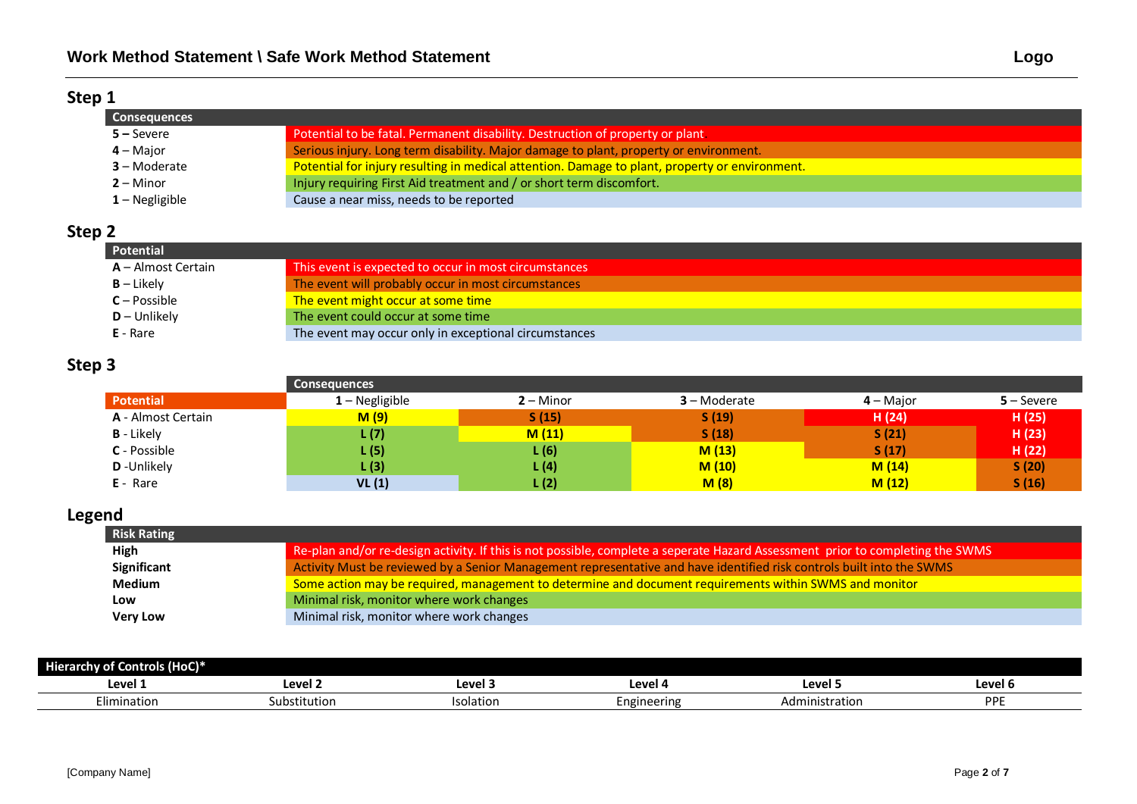# **Step 1**

| <b>Consequences</b> |                                                                                                |
|---------------------|------------------------------------------------------------------------------------------------|
| $5 -$ Severe        | Potential to be fatal. Permanent disability. Destruction of property or plant                  |
| $4 -$ Major         | Serious injury. Long term disability. Major damage to plant, property or environment.          |
| $3 -$ Moderate      | Potential for injury resulting in medical attention. Damage to plant, property or environment. |
| $2 -$ Minor         | Injury requiring First Aid treatment and / or short term discomfort.                           |
| $1 - Negligible$    | Cause a near miss, needs to be reported                                                        |

### **Step 2**

| Potential            |                                                       |  |  |  |
|----------------------|-------------------------------------------------------|--|--|--|
| $A -$ Almost Certain | This event is expected to occur in most circumstances |  |  |  |
| $B - Likely$         | The event will probably occur in most circumstances   |  |  |  |
| $C - Possible$       | The event might occur at some time                    |  |  |  |
| <b>D</b> – Unlikely  | The event could occur at some time                    |  |  |  |
| E - Rare             | The event may occur only in exceptional circumstances |  |  |  |

# **Step 3**

|                           | <b>Consequences</b> |             |                |             |              |
|---------------------------|---------------------|-------------|----------------|-------------|--------------|
| <b>Potential</b>          | $1 - Negligible$    | $2 -$ Minor | $3 -$ Moderate | $4 -$ Major | $5 -$ Severe |
| <b>A</b> - Almost Certain | M (9)               | S(15)       | S(19)          | H(24)       | H(25)        |
| <b>B</b> - Likely         | L (7)               | M(11)       | S(18)          | S(21)       | H(23)        |
| <b>C</b> - Possible       | L(5)                | L (6)       | M(13)          | S(17)       | H (22)       |
| D-Unlikely                | L(3)                | L (4)       | M(10)          | M(14)       | S(20)        |
| E - Rare                  | VL(1)               | L (2)       | M(8)           | M(12)       | S(16)        |

#### **Legend**

| <b>Risk Rating</b> |                                                                                                                                |
|--------------------|--------------------------------------------------------------------------------------------------------------------------------|
| High               | Re-plan and/or re-design activity. If this is not possible, complete a seperate Hazard Assessment prior to completing the SWMS |
| <b>Significant</b> | Activity Must be reviewed by a Senior Management representative and have identified risk controls built into the SWMS          |
| Medium             | Some action may be required, management to determine and document requirements within SWMS and monitor                         |
| Low                | Minimal risk, monitor where work changes                                                                                       |
| <b>Very Low</b>    | Minimal risk, monitor where work changes                                                                                       |

| controls (HoC)*<br>_<br><b>Hiera</b><br>ОΤ<br>. I CC |              |                |             |                |         |  |  |
|------------------------------------------------------|--------------|----------------|-------------|----------------|---------|--|--|
| Level 1                                              | ∟evel ∶      | <b>Level</b> 3 | evel 4      | ∟evel ∶        | Level 6 |  |  |
| $-1$<br>limination                                   | Substitution | Isolation      | Engineering | Administration | PPE     |  |  |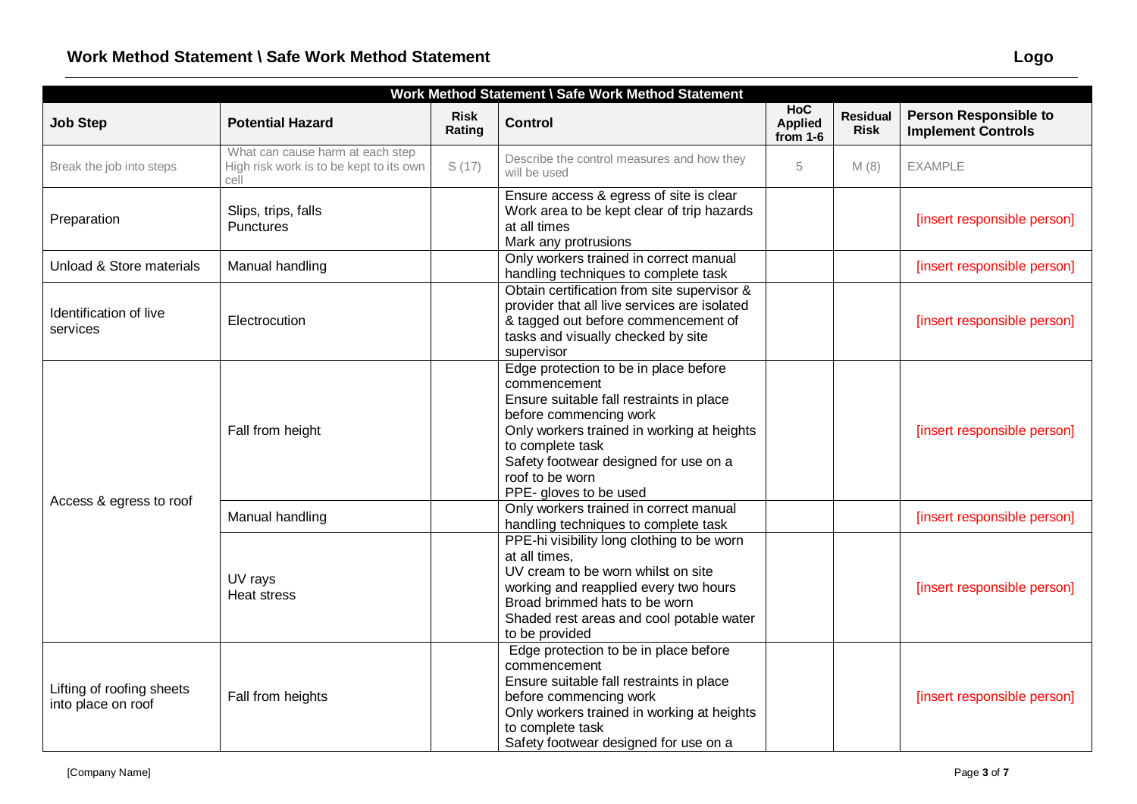| Work Method Statement \ Safe Work Method Statement |                                                                                     |                       |                                                                                                                                                                                                                                                                                     |                                            |                                |                                                           |  |  |
|----------------------------------------------------|-------------------------------------------------------------------------------------|-----------------------|-------------------------------------------------------------------------------------------------------------------------------------------------------------------------------------------------------------------------------------------------------------------------------------|--------------------------------------------|--------------------------------|-----------------------------------------------------------|--|--|
| <b>Job Step</b>                                    | <b>Potential Hazard</b>                                                             | <b>Risk</b><br>Rating | <b>Control</b>                                                                                                                                                                                                                                                                      | <b>HoC</b><br><b>Applied</b><br>from $1-6$ | <b>Residual</b><br><b>Risk</b> | <b>Person Responsible to</b><br><b>Implement Controls</b> |  |  |
| Break the job into steps                           | What can cause harm at each step<br>High risk work is to be kept to its own<br>cell | S(17)                 | Describe the control measures and how they<br>will be used                                                                                                                                                                                                                          | 5                                          | M(8)                           | <b>EXAMPLE</b>                                            |  |  |
| Preparation                                        | Slips, trips, falls<br><b>Punctures</b>                                             |                       | Ensure access & egress of site is clear<br>Work area to be kept clear of trip hazards<br>at all times<br>Mark any protrusions                                                                                                                                                       |                                            |                                | [insert responsible person]                               |  |  |
| Unload & Store materials                           | Manual handling                                                                     |                       | Only workers trained in correct manual<br>handling techniques to complete task                                                                                                                                                                                                      |                                            |                                | [insert responsible person]                               |  |  |
| Identification of live<br>services                 | Electrocution                                                                       |                       | Obtain certification from site supervisor &<br>provider that all live services are isolated<br>& tagged out before commencement of<br>tasks and visually checked by site<br>supervisor                                                                                              |                                            |                                | [insert responsible person]                               |  |  |
|                                                    | Fall from height                                                                    |                       | Edge protection to be in place before<br>commencement<br>Ensure suitable fall restraints in place<br>before commencing work<br>Only workers trained in working at heights<br>to complete task<br>Safety footwear designed for use on a<br>roof to be worn<br>PPE- gloves to be used |                                            |                                | [insert responsible person]                               |  |  |
| Access & egress to roof                            | Manual handling                                                                     |                       | Only workers trained in correct manual<br>handling techniques to complete task                                                                                                                                                                                                      |                                            |                                | [insert responsible person]                               |  |  |
|                                                    | UV rays<br><b>Heat stress</b>                                                       |                       | PPE-hi visibility long clothing to be worn<br>at all times.<br>UV cream to be worn whilst on site<br>working and reapplied every two hours<br>Broad brimmed hats to be worn<br>Shaded rest areas and cool potable water<br>to be provided                                           |                                            |                                | [insert responsible person]                               |  |  |
| Lifting of roofing sheets<br>into place on roof    | Fall from heights                                                                   |                       | Edge protection to be in place before<br>commencement<br>Ensure suitable fall restraints in place<br>before commencing work<br>Only workers trained in working at heights<br>to complete task<br>Safety footwear designed for use on a                                              |                                            |                                | [insert responsible person]                               |  |  |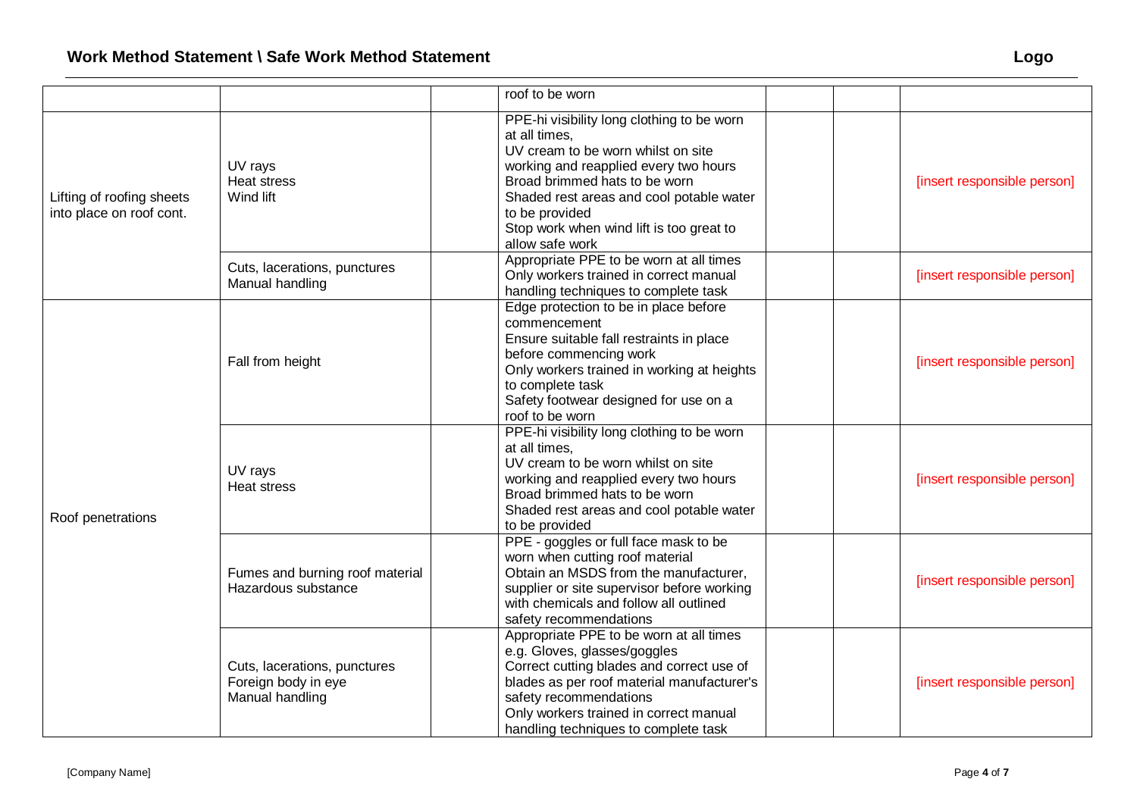|                                                       |                                                                        | roof to be worn                                                                                                                                                                                                                                                                                          |                             |
|-------------------------------------------------------|------------------------------------------------------------------------|----------------------------------------------------------------------------------------------------------------------------------------------------------------------------------------------------------------------------------------------------------------------------------------------------------|-----------------------------|
| Lifting of roofing sheets<br>into place on roof cont. | UV rays<br>Heat stress<br>Wind lift                                    | PPE-hi visibility long clothing to be worn<br>at all times.<br>UV cream to be worn whilst on site<br>working and reapplied every two hours<br>Broad brimmed hats to be worn<br>Shaded rest areas and cool potable water<br>to be provided<br>Stop work when wind lift is too great to<br>allow safe work | [insert responsible person] |
|                                                       | Cuts, lacerations, punctures<br>Manual handling                        | Appropriate PPE to be worn at all times<br>Only workers trained in correct manual<br>handling techniques to complete task                                                                                                                                                                                | [insert responsible person] |
|                                                       | Fall from height                                                       | Edge protection to be in place before<br>commencement<br>Ensure suitable fall restraints in place<br>before commencing work<br>Only workers trained in working at heights<br>to complete task<br>Safety footwear designed for use on a<br>roof to be worn                                                | [insert responsible person] |
| Roof penetrations                                     | UV rays<br><b>Heat stress</b>                                          | PPE-hi visibility long clothing to be worn<br>at all times.<br>UV cream to be worn whilst on site<br>working and reapplied every two hours<br>Broad brimmed hats to be worn<br>Shaded rest areas and cool potable water<br>to be provided                                                                | [insert responsible person] |
|                                                       | Fumes and burning roof material<br>Hazardous substance                 | PPE - goggles or full face mask to be<br>worn when cutting roof material<br>Obtain an MSDS from the manufacturer,<br>supplier or site supervisor before working<br>with chemicals and follow all outlined<br>safety recommendations                                                                      | [insert responsible person] |
|                                                       | Cuts, lacerations, punctures<br>Foreign body in eye<br>Manual handling | Appropriate PPE to be worn at all times<br>e.g. Gloves, glasses/goggles<br>Correct cutting blades and correct use of<br>blades as per roof material manufacturer's<br>safety recommendations<br>Only workers trained in correct manual<br>handling techniques to complete task                           | [insert responsible person] |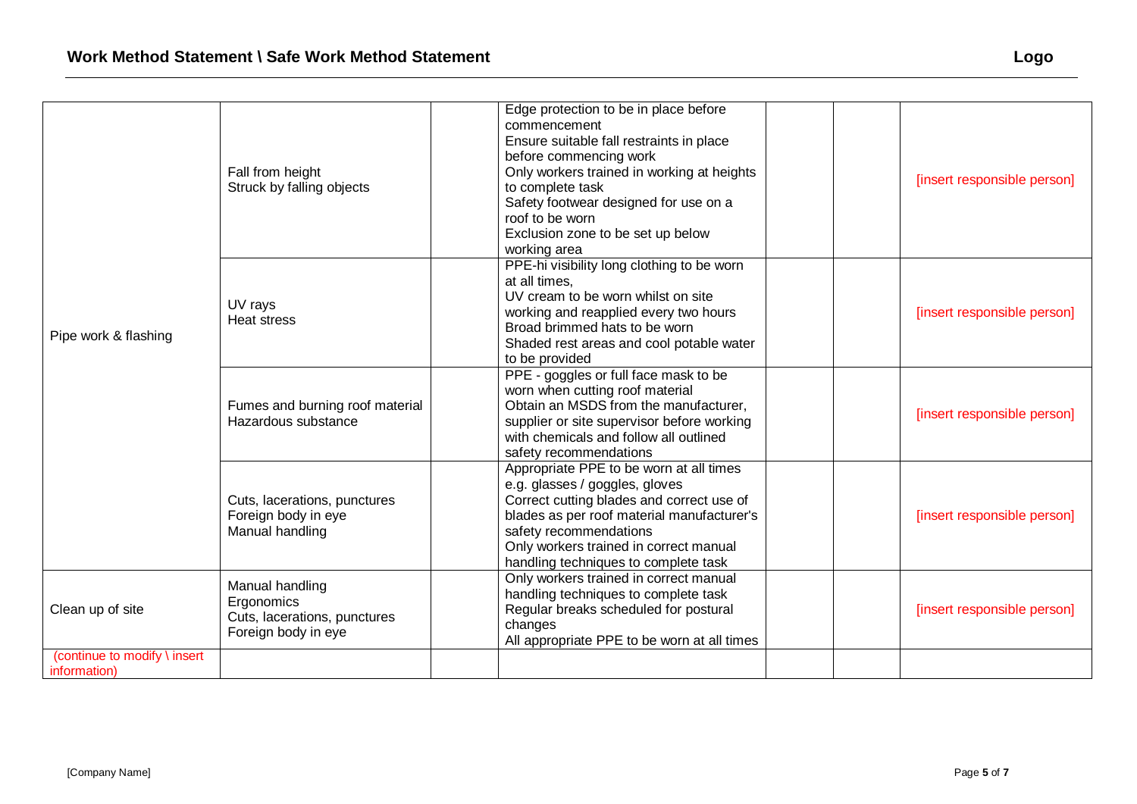|                              |                                 | Edge protection to be in place before       |                             |  |  |
|------------------------------|---------------------------------|---------------------------------------------|-----------------------------|--|--|
|                              |                                 | commencement                                |                             |  |  |
|                              |                                 | Ensure suitable fall restraints in place    |                             |  |  |
|                              |                                 | before commencing work                      |                             |  |  |
|                              | Fall from height                | Only workers trained in working at heights  |                             |  |  |
|                              | Struck by falling objects       | to complete task                            | [insert responsible person] |  |  |
|                              |                                 | Safety footwear designed for use on a       |                             |  |  |
|                              |                                 | roof to be worn                             |                             |  |  |
|                              |                                 | Exclusion zone to be set up below           |                             |  |  |
|                              |                                 | working area                                |                             |  |  |
|                              |                                 | PPE-hi visibility long clothing to be worn  |                             |  |  |
|                              |                                 | at all times.                               |                             |  |  |
|                              |                                 | UV cream to be worn whilst on site          |                             |  |  |
|                              | UV rays                         | working and reapplied every two hours       | [insert responsible person] |  |  |
|                              | Heat stress                     | Broad brimmed hats to be worn               |                             |  |  |
| Pipe work & flashing         |                                 | Shaded rest areas and cool potable water    |                             |  |  |
|                              |                                 | to be provided                              |                             |  |  |
|                              |                                 | PPE - goggles or full face mask to be       |                             |  |  |
|                              |                                 | worn when cutting roof material             |                             |  |  |
|                              | Fumes and burning roof material | Obtain an MSDS from the manufacturer,       | [insert responsible person] |  |  |
|                              | Hazardous substance             | supplier or site supervisor before working  |                             |  |  |
|                              |                                 | with chemicals and follow all outlined      |                             |  |  |
|                              |                                 | safety recommendations                      |                             |  |  |
|                              |                                 | Appropriate PPE to be worn at all times     |                             |  |  |
|                              |                                 | e.g. glasses / goggles, gloves              |                             |  |  |
|                              | Cuts, lacerations, punctures    | Correct cutting blades and correct use of   |                             |  |  |
|                              | Foreign body in eye             | blades as per roof material manufacturer's  | [insert responsible person] |  |  |
|                              | Manual handling                 | safety recommendations                      |                             |  |  |
|                              |                                 | Only workers trained in correct manual      |                             |  |  |
|                              |                                 | handling techniques to complete task        |                             |  |  |
|                              | Manual handling                 | Only workers trained in correct manual      |                             |  |  |
|                              | Ergonomics                      | handling techniques to complete task        |                             |  |  |
| Clean up of site             | Cuts, lacerations, punctures    | Regular breaks scheduled for postural       | [insert responsible person] |  |  |
|                              | Foreign body in eye             | changes                                     |                             |  |  |
|                              |                                 | All appropriate PPE to be worn at all times |                             |  |  |
| (continue to modify \ insert |                                 |                                             |                             |  |  |
| information)                 |                                 |                                             |                             |  |  |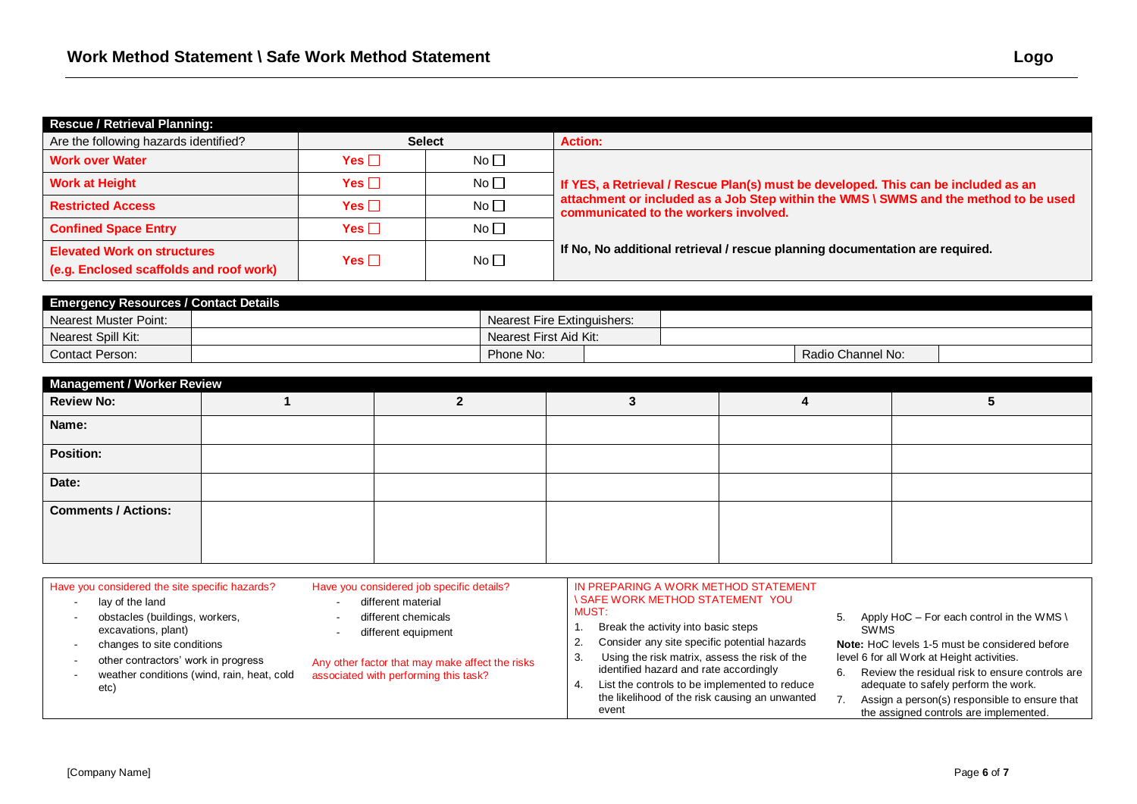| <b>Rescue / Retrieval Planning:</b>     |               |                 |                                                                                                                               |  |  |  |  |  |
|-----------------------------------------|---------------|-----------------|-------------------------------------------------------------------------------------------------------------------------------|--|--|--|--|--|
| Are the following hazards identified?   | <b>Select</b> |                 | <b>Action:</b>                                                                                                                |  |  |  |  |  |
| <b>Work over Water</b>                  | Yes $\Box$    | No <sub>1</sub> |                                                                                                                               |  |  |  |  |  |
| <b>Work at Height</b>                   | Yes $\Box$    | $No$ $\Box$     | If YES, a Retrieval / Rescue Plan(s) must be developed. This can be included as an                                            |  |  |  |  |  |
| <b>Restricted Access</b>                | Yes $\Box$    | No              | attachment or included as a Job Step within the WMS \ SWMS and the method to be used<br>communicated to the workers involved. |  |  |  |  |  |
| <b>Confined Space Entry</b>             | Yes $\Box$    | $No$ $\Box$     |                                                                                                                               |  |  |  |  |  |
| <b>Elevated Work on structures</b>      | Yes $\square$ | No <sub>1</sub> | If No, No additional retrieval / rescue planning documentation are required.                                                  |  |  |  |  |  |
| (e.g. Enclosed scaffolds and roof work) |               |                 |                                                                                                                               |  |  |  |  |  |

| <b>Emergency Resources / Contact Details</b> |  |                             |  |  |                   |  |  |
|----------------------------------------------|--|-----------------------------|--|--|-------------------|--|--|
| Nearest Muster Point:                        |  | Nearest Fire Extinguishers: |  |  |                   |  |  |
| Nearest Spill Kit:                           |  | Nearest First Aid Kit:      |  |  |                   |  |  |
| Contact Person:                              |  | Phone No:                   |  |  | Radio Channel No: |  |  |

| <b>Management / Worker Review</b> |  |  |  |  |  |  |  |  |
|-----------------------------------|--|--|--|--|--|--|--|--|
| <b>Review No:</b>                 |  |  |  |  |  |  |  |  |
| Name:                             |  |  |  |  |  |  |  |  |
| Position:                         |  |  |  |  |  |  |  |  |
| Date:                             |  |  |  |  |  |  |  |  |
| <b>Comments / Actions:</b>        |  |  |  |  |  |  |  |  |

| Have you considered the site specific hazards?<br>lay of the land<br>obstacles (buildings, workers,<br>excavations, plant)<br>changes to site conditions<br>other contractors' work in progress<br>weather conditions (wind, rain, heat, cold | Have you considered job specific details?<br>different material<br>different chemicals<br>different equipment<br>Any other factor that may make affect the risks<br>associated with performing this task? | MUST:<br>3. | IN PREPARING A WORK METHOD STATEMENT<br><b>ISAFE WORK METHOD STATEMENT YOU</b><br>Break the activity into basic steps<br>Consider any site specific potential hazards<br>Using the risk matrix, assess the risk of the<br>identified hazard and rate accordingly |  | 5. Apply HoC – For each control in the WMS \<br><b>SWMS</b><br>Note: HoC levels 1-5 must be considered before<br>level 6 for all Work at Height activities.<br>Review the residual risk to ensure controls are |
|-----------------------------------------------------------------------------------------------------------------------------------------------------------------------------------------------------------------------------------------------|-----------------------------------------------------------------------------------------------------------------------------------------------------------------------------------------------------------|-------------|------------------------------------------------------------------------------------------------------------------------------------------------------------------------------------------------------------------------------------------------------------------|--|----------------------------------------------------------------------------------------------------------------------------------------------------------------------------------------------------------------|
| etc)                                                                                                                                                                                                                                          |                                                                                                                                                                                                           |             | List the controls to be implemented to reduce<br>the likelihood of the risk causing an unwanted<br>event                                                                                                                                                         |  | adequate to safely perform the work.<br>Assign a person(s) responsible to ensure that                                                                                                                          |
|                                                                                                                                                                                                                                               |                                                                                                                                                                                                           |             |                                                                                                                                                                                                                                                                  |  | the assigned controls are implemented.                                                                                                                                                                         |